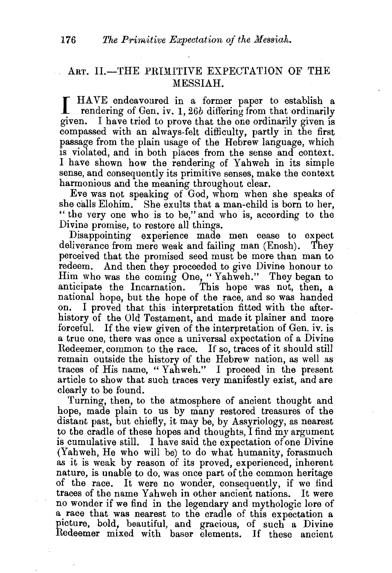## ART. II.-THE PRIMITIVE EXPECTATION OF THE MESSIAH.

I HAVE endeavoured in a former paper to establish a rendering of Gen. iv. I, *26b* differing from that ordinarily given. I have tried to prove that the one ordinarily given is compassed with an always-felt difficulty, partly in the first passage from the plain usage of the Hebrew language, which is violated, and in both places from the sense and context. I have shown how the rendering of Yahweh in its simple sense, and consequently its primitive senses, make the context harmonious and the meaning throughout clear.

Eve was not speaking of God, whom when she speaks of she calls Elohim. She exults that a man-child is born to her, "the very one who is to be," and who is, according to the Divine promise, to restore all things.

Disappointing experience made men cease to expect deliverance from mere weak and failing man (Enosh). They perceived that the promised seed must be more than man to redeem. And then they proceeded to give Divine honour to Him who was the coming One, "Yahweh." They began to anticipate the Incarnation. This hope was not, then, a anticipate the Incarnation. national hope, but the hope of the race, and so was handed on. I proved that this interpretation fitted with the afterhistory of the Old Testament, and made it plainer and more forceful. If the view given of the interpretation of Gen. iv. is a true one, there was once a universal expectation of a Divine Redeemer, common to the race. If so, traces of it should still remain outside the history of the Hebrew nation, as well as traces of His name, "Yahweh." I proceed in the present article to show that such traces very manifestly exist, and are clearly to be found.

Turning, then, to the atmosphere of ancient thought and hope, made plain to us by many restored treasures of the distant past, but chiefly, it may be, by Assyriology, as nearest to the cradle of these hopes and thoughts, I find my argument is cumulative still. I have said the expectation of one Divine (Yahweh, He who will be) to do what humanity, forasmuch as it is weak by reason of its proved, experienced, inherent nature, is unable to do, was once part of the common heritage of the race. It were no wonder, consequently, if we find traces of the name Yahweh in other ancient nations. It were no wonder if we find in the legendary and mythologic lore of a race that was nearest to the cradle of this expectation a picture, bold, beautiful, and gracious, of such a Divine Redeemer mixed with baser elements. If these ancient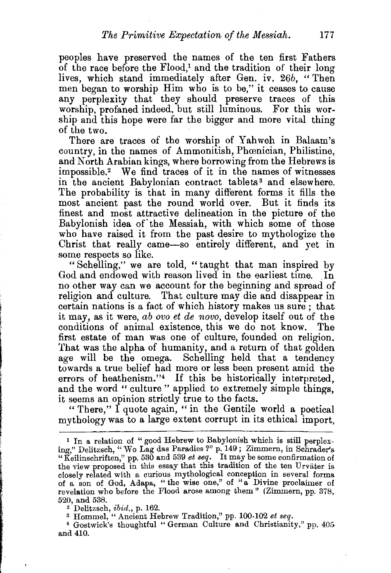peoples have preserved the names of the ten first Fathers of the race before the  $Flood$ ,<sup>1</sup> and the tradition of their long lives, which stand immediately after Gen. iv. 26b, "Then men began to worship Him who is to be," it ceases to cause any perplexity that they should preserve traces of this worship, profaned indeed, but still luminous. For this worship and this hope were far the bigger and more vital thing of the two.

There are traces of the worship of Yahweh in Balaam's country, in the names of Ammonitish, Phamician, Philistine, and North Arabian kings, where borrowing from the Hebrews is impossible.<sup>2</sup> We find traces of it in the names of witnesses in the ancient Babylonian contract tablets 3 and elsewhere. The probability is that in many different forms it fills the most ancient past the round world over. But it finds its finest and most attractive delineation in the picture of the Babylonish idea of the Messiah, with which some of those who have raised it from the past desire to mythologize the Christ that really came-so entirely different, and yet in some respects so like.

" Schelling," we are told, " taught that man inspired by God and endowed with reason lived in the earliest time. In no other way can we account for the beginning and spread of religion and culture. That culture may die and disappear in certain nations is a fact of which history makes us sure; that it may, as it were, *ab ovo et de novo,* develop itself out of the conditions of animal existence, this we do not know. The first estate of man was one of culture, founded on religion. That was the alpha of humanity, and a return of that golden age will be the omega. Schelling held that a tendency towards a true belief had more or less been present amid the errors of heathenism."4 If this be historically interpreted, and the word " culture " applied to extremely simple things, it seems an opinion strictly true to the facts.

"There,"  $\overline{I}$  quote again, "in the Gentile world a poetical mythology was to a large extent corrupt in its ethical import,

<sup>&</sup>lt;sup>1</sup> In a relation of "good Hebrew to Babylonish which is still perplexing," Delitzsch, "Wo Lag das Paradies ?" p. 149; Zimmern, in Schrader's "Keilinschriften," pp. 530 and 539  $et\,seq$ . It may be some confirmation of the view proposed in this essay that this tradition of the ten Urväter is closely related with a curious mythological conception in several forms of a son of God, Adapa, " the wise one," of "a Divine proclaimer of revelation who before the Flood arose among them" (Zimmern, pp. 378, 520, and 538.

<sup>~</sup>Delitzsch, ibid., p. 162. 3 Hommel, "Ancient Hebrew Tradition," pp. 100-102 *et seq.* 4 Gostwick's thoughtful " German Culture and Christianity," pp. 405 and 410.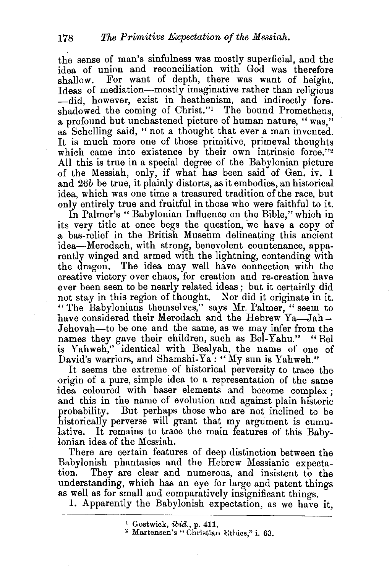the sense of man's sinfulness was mostly superficial, and the idea of union and reconciliation with God was therefore shallow. For want of depth, there was want of height. Ideas of mediation-mostly imaginative rather than religious -did, however, exist in heathenism, and indirectly foreshadowed the coming of Christ."<sup>1</sup> The bound Prometheus. a profound but unchastened picture of human nature, "was," as Schelling said, " not a thought that ever a man invented. It is much more one of those primitive, primeval thoughts which came into existence by their own intrinsic force."2 All this is true in a special degree of the Babylonian picture of the Messiah, only, if what has been said of Gen. iv. 1 and *26b* be true, it plainly distorts, as it embodies, an historical idea, which was one time a treasured tradition of the race, but only entirely true and fruitful in those who were faithful to it.

In Palmer's "Babylonian Influence on the Bible," which in its very title at once begs the question, we have a copy of a bas-relief in the British Museum delineating this ancient idea-Merodach, with strong, benevolent countenance, apparently winged and armed with the lightning, contending with the dragon. The idea may well have connection with the creative victory over chaos, for creation and re-creation have ever been seen to be nearly related ideas; but it certainly did not stay in this region of thought. Nor did it originate in it. "The Babylonians themselves," says Mr. Palmer, "seem to have considered their Merodach and the Hebrew  $Ya$ —Jah = Jehovah-to be one and the same, as we may infer from the names they gave their children, such as Bel-Yahu." "Bel is Yahweh," identical with Bealyah, the name of one of David's warriors, and Shamshi-Ya: "My sun is Yahweh."

It seems the extreme of historical perversity to trace the origin of a pure, simple idea to a representation of the same idea coloured with baser elements and become complex ; and this in the name of evolution and against plain historic probability. But perhaps those who are not inclined to be historically perverse will grant that my argument is cumulative. It remains to trace the main features of this Babylonian idea of the Messiah.

There are certain features of deep distinction between the Babylonish phantasies and the Hebrew Messianic expectation. They are clear and numerous, and insistent to the understanding, which has an eye for large and patent things as well as for small and comparatively insignificant things.

1. Apparently the Babylonish expectation, as we have it,

<sup>1</sup> Gostwick,  $ibid.$ , p. 411.<br><sup>2</sup> Martensen's " Christian Ethics," i. 63.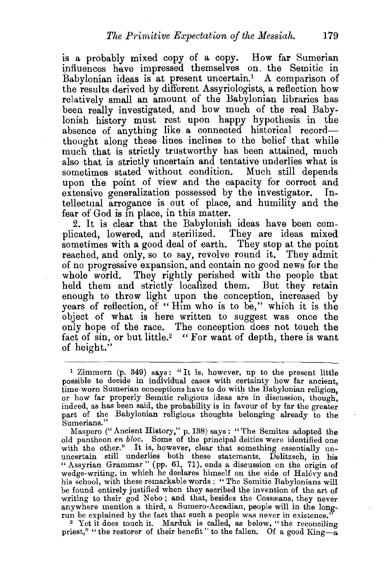is a probably mixed copy of a copy. How far Sumerian influences have impressed themselves on the Semitic in Babylonian ideas is at present uncertain.<sup>1</sup> A comparison of the results derived by different Assyriologists, a reflection how relatively small an amount of the Babylonian libraries has been really investigated, and how much of the real Babylonish history must rest upon happy hypothesis in the absence of anything like a connected historical recordthought along these lines inclines to the belief that while much that is strictly trustworthy has been attained, much also that is strictly uncertain and tentative underlies what is sometimes stated without condition. Much still depends upon the point of view and the capacity for correct and extensive generalization possessed by the investigator. Intellectual arrogance is out of place, and humility and the fear of God is in place, in this matter.

2. It is clear that the Babylonish ideas have been complicated, lowered, and sterilized. They are ideas mixed sometimes with a good deal of earth. They stop at the point reached, and only, so to say, revolve round it. They admit of no progressive expansion, and contain no good news for the whole world. They rightly perished with the people that held them and strictly localized them. But they retain enough to throw light upon the conception, increased by years of reflection, of "Him who is to be," which it is the object of what is here written to suggest was once the only hope of the race. The conception does not touch the fact of sin, or but little.<sup>2</sup> " For want of depth, there is want of height."

Maspero ("Ancient History," p. 138) says: "The Semites adopted the old pantheon *en bloc.* Some of the principal deities were identified one with the other." It is, however, clear that something essentially ununcertain still underlies both these statements. Delitzsch, in his "Assyrian Grammar" (pp. 61, 71), ends a discussion on the origin of wedge-writing, in which he declares himself on the side of Halevy and his school, with these remarkable words : "The Semitic Babylonians will be found entirely justified when they ascribed the invention of the art of writing to their god Nebo; and that, besides the Cossæans, they never<br>anywhere mention a third, a Sumero-Accadian, people will in the longanywhere mention a third, a Sumero-Accadian, people will in the long-<br>run be explained by the fact that such a people was never in existence."<br><sup>2</sup> Yet it does touch it. Marduk is called, as below, "the reconciling

priest," " the restorer of their benefit" to the fallen. Of a good  $\overline{\text{King}}$ -a

<sup>1</sup> Zimmern (p. 349) says: "It is, however, up to the present little possible to decide in individual cases with certainty how far ancient, time worn Sumerian conceptions have to do with the Babylonian religion, or how far properly Semitic religious ideas are in discussion, though, indeed, as has been said, the probability is in favour of by far the greater part of the Babylonian religious thoughts belonging already to the Sumerians."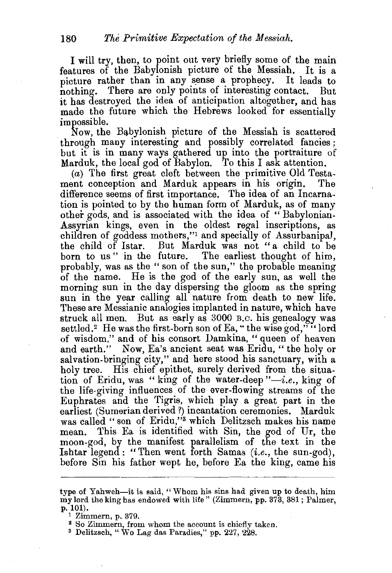I will try, then, to point out very briefly some of the main features of the Babylonish picture of the Messiah. It is a picture rather than in any sense a prophecy. It leads to nothing. There are only points of interesting contact. But it has destroyed the idea of anticipation altogether, and has made the future which the Hebrews looked for essentially impossible.

Now, the B&bylonish picture of the Messiah is scattered through many interesting and possibly correlated fancies; but it is in many ways gathered up into the portraiture of Marduk, the local god of Babylon. To this I ask attention.

(a) The first great cleft between the primitive Old Testament conception and Marduk appears in his origin. difference seems of first importance. The idea of an Incarnation is pointed to by the human form of Marduk, as of many other gods, and is associated with the idea of " Babylonian-Assyrian kings, even in the oldest regal inscriptions, as children of goddess mothers,"1 and specially of Assurbanipal, the child of Istar. But Marduk was not "a child to be born to us" in the future. probably, was as the " son of the sun," the probable meaning of the name. He is the god of the early sun, as well the morning sun in the day dispersing the gloom as the spring sun in the year calling all nature from death to new life. These are Messianic analogies implanted in nature, which have struck all men. But as early as 3000 B.c. his genealogy was settled.<sup>2</sup> He was the first-born son of Ea, " the wise god,"" lord of wisdom," and of his consort Damkina, "queen of heaven and earth." Now, Ea's ancient seat was Eridu, "the holy or salvation-bringing city," and here stood his sanctuary, with a holy tree. His chief epithet, surely derived from the situation of Eridu, was "king of the water-deep  $"-i.e.,$  king of the life-giving influences of the ever-flowing streams of the Euphrates and the Tigris, which play a great part in the earliest (Sumerian derived?) incantation ceremonies. Marduk was called "son of Eridu,"<sup>3</sup> which Delitzsch makes his name mean. This Ea is identified with Sin, the god of Ur, the moon-god, by the manifest parallelism of the text in the Ishtar legend: "Then went forth Samas *(i.e.,* the sun-god), before Sin his father wept he, before Ea the king, came his

type of Yahweh-it is said, "Whom his sins had given up to death, him my lord the king has endowed with life" (Zimmern, pp. 373, 381; Palmer,  $p. 101$ .<br><sup>1</sup> Zimmern, p. 379.

<sup>&</sup>lt;sup>2</sup> So Zimmern, from whom the account is chiefly taken.  $\frac{3}{2}$  Delitzsch, " V o Lag das Paradies," pp. 227, 228.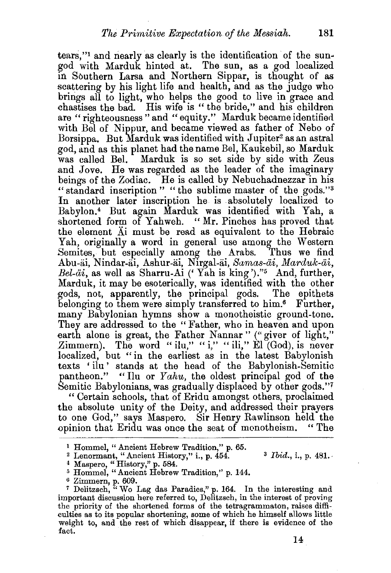tears,"1 and nearly as clearly is the identification of the sungod with Marduk hinted at. The sun, as a god localized in Southern Larsa and Northern Sippar, is thought of as scattering by his light life and health, and as the judge who brings all to light, who helps the good to live in grace and chastises the bad. His wife is " the bride," and his children are "righteousness" and "equity." Marduk became identified with Bel of Nippur, and became viewed as father of Nebo of Borsippa. But Marduk was identified with Jupiter<sup>2</sup> as an astral god, and as this planet had the name Bel, Kaukebil, so Marduk was called Bel. Marduk is so set side by side with Zeus and Jove. He was regarded as the leader of the imaginary beings of the Zodiac. He is called by Nebuchadnezzar in his " standard inscription " "the sublime master of the gods."<sup>3</sup> In another later inscription he is absolutely localized to Babylon.4 But again Marduk was identified with Yah, a shortened form of Yahweh. "Mr. Pinches has proved that the element Ai must be read as equivalent to the Hebraic Yah, originally a word in general use among the Western Semites, but especially among the Arabs. Thus we find Abu-ai, Nindar-ai, Ashur-ai, Nirgal-ai, *Samas-ai, Marduk-ai, Bel-iii,* as well as Sharru-Ai ('Yah is king ')."5 And, further; Marduk, it may be esoterically, was identified with the other gods, not, apparently, the principal gods. belonging to them were simply transferred to him.<sup>6</sup> Further, many Babylonian hymns show a monotheistic ground-tone. They are addressed to the "Father, who in heaven and upon earth alone is great, the Father Nannar" ("giver of light," Zimmern). The word "ilu," "i," "ili," El (God), is never localized, but "in the earliest as in the latest Babylonish localized, but "in the earliest as in the latest Babylonish texts 'ilu ' stands at the head of the Babylonish-Semitic pantheon." "Ilu or *Yahu,* the oldest principal god of the Semitic Babylonians, was gradually displaced by other gods."7

" Certain schools, that of Eridu amongst others, proclaimed the absolute unity of the Deity, and addressed their prayers to one God," says Maspero. Sir Henry Rawlinson held· the <>pinion that Eridu was once the seat of monotheism. " The

<sup>7</sup> Delitzsch,  $\ddot{u}$  Wo Lag das Paradies," p. 164. In the interesting and important discussion here referred to, Delitzsch, in the interest of proving the priority of the shortened forms of the tetragrammaton, raises difficulties as to its popular shortening, some of which he himself allows little weight to, and the rest of which disappear, if there is evidence of the fact.

<sup>1</sup> Hommel, " Ancient Hebrew Tradition," p. 65.

<sup>&</sup>lt;sup>2</sup> Lenormant, "Ancient History," i., p. 454. <sup>3</sup> *Ibid.*, i., p. 481. **4 Maspero, "History,"** p. 584.

 $^5$  Hommel, "Ancient Hebrew Tradition," p. 144.  $^6$  Zimmern, p. 609.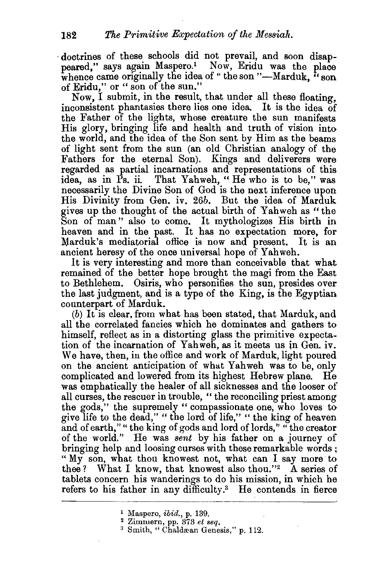· doctrines of these schools did not prevail, and soon disappeared," says again Maspero.<sup>1</sup> Now, Eridu was the place whence came originally the idea of "the son "-Marduk, "son of Eridu," or "son of the sun."

Now, I submit, in the result, that under all these floating, inconsistent phantasies there lies one idea. It is the idea of the Father of the lights, whose creature the sun manifests His glory, bringing life and health and truth of vision into the world, and the idea of the Son sent by Him as the beams of light sent from the sun (an old Christian analogy of the Fathers for the eternal Son). Kings and deliverers were regarded as partial incarnations and representations of this idea, as in Ps. ii That Yahweh, "He who is to be," was necessarily the Divine Son of God is the next inference upon His Divinity from Gen. iv. 26b. But the idea of Marduk gives up the thought of the actual birth of Yahweh as" the Son of man " also to come. It mythologizes His birth in heaven and in the past. It has no expectation more, for Marduk's mediatorial office is now and present. It is an ancient heresy of the once universal hope of Yahweh.

It is very interesting and more than conceivable that what remained of the better hope brought the magi from the East to Bethlehem. Osiris, who personifies the sun, presides over the last judgment, and is a type of the King, is the Egyptian counterpart of Marduk.

(b) It is clear, from what has been stated, that Marduk, and all the correlated fancies which he dominates and gathers to himself, reflect as in a distorting glass the primitive expectation of the incarnation of Yahweh, as it meets us in Gen. iv. We have, then, in the office and work of Marduk, light poured on the ancient anticipation of what Yahweh was to be, only complicated and lowered from its highest Hebrew plane. He was emphatically the healer of all sicknesses and the looser of all curses, the rescuer in trouble, " the reconciling priest among the gods," the supremely " compassionate one, who loves to give life to the dead," "the lord of life," "the king of heaven and of earth," " the king of gods and lord of lords," " the creator of the world." He was *sent* by his father on a journey of bringing help and loosing curses with these remarkable words ; "My son, what thou knowest not, what can I say more to thee? What I know, that knowest also thou."2 A series of tablets concern his wanderings to do his mission, in which he refers to his father in any difficulty.<sup>3</sup> He contends in fierce

<sup>&</sup>lt;sup>1</sup> Maspero, *ibid.*, p. 139.<br><sup>2</sup> Zimmern, pp. 373 *et seq.*  $\frac{3}{3}$  Smith, "Chaldæan Genesis," p. 112.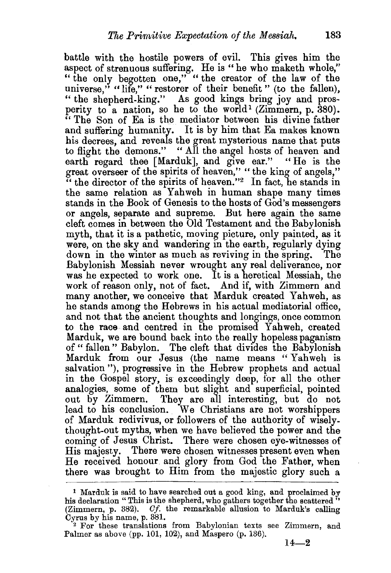battle with the hostile powers of evil. This gives him the aspect of strenuous suffering. He is "he who maketh whole," "the only begotten one," "the creator of the law of the universe," "life," "restorer of their benefit" (to the fallen), " the shepherd-king." As good kings bring joy and prosperity to a nation, so he to the world<sup>1</sup> (Zimmern, p. 380). " The Son of Ea is the mediator between his divine father and suffering humanity. It is by him that Ea makes known his decrees, and reveals the great mysterious name that puts to flight the demons." "All the angel hosts of heaven and earth regard thee [Marduk], and give ear." "He is the great overseer of the spirits of heaven," "the king of angels,"  $\mathbf{u}^{\prime}$  the director of the spirits of heaven."<sup>2</sup> In fact, he stands in the same relation as Yahweh in human shape many times stands in the Book of Genesis to the hosts of God's messengers or angels, separate and supreme. But here again the same cleft comes in between the Old Testament and the Babylonish myth, that it is a pathetic, moving picture, only painted, as it were, on the sky and wandering in the earth, regularly dying down in the winter as much as reviving in the spring. Babylonish Messiah never wrought any real deliverance, nor was he expected to work one. It is a heretical Messiah, the work of reason only, not of fact. And if, with Zimmern and many another, we conceive that Marduk created Yahweh, as he stands among the Hebrews in his actual mediatorial office, and not that the ancient thoughts and longings, once common to the race and centred in the promised Yahweh, created Marduk, we are bound back into the really hopeless paganism of "fallen" Babylon. The cleft that divides the Babylonish Marduk from our Jesus (the name means "Yahweh is salvation"), progressive in the Hebrew prophets and actual in the Gospel story, is exceedingly deep, for all the other analogies, some of them but slight and superficial, pointed out by Zimmern. They are all interesting, but do not lead to his conclusion. We Christians are not worshippers of Marduk redivivus, or followers of the authority of Wiselythought-out myths, when we have believed the power and the coming of Jesus Christ. There were chosen eye-witnesses of His majesty. There were chosen witnesses present even when He received honour and glory from God the Father, when there was brought to Him from the majestic glory such a

<sup>1</sup> Marduk is said to have searched out a good king, and proclaimed by his declaration "This is the shepherd, who gathers together the scattered" (Zimmern, p. 382). *Of.* the remarkable allusion to Marduk's calling

<sup>&</sup>lt;sup>2</sup> For these translations from Babylonian texts see Zimmern, and Palmer as above (pp. 101, 102), and Maspero (p. 136).